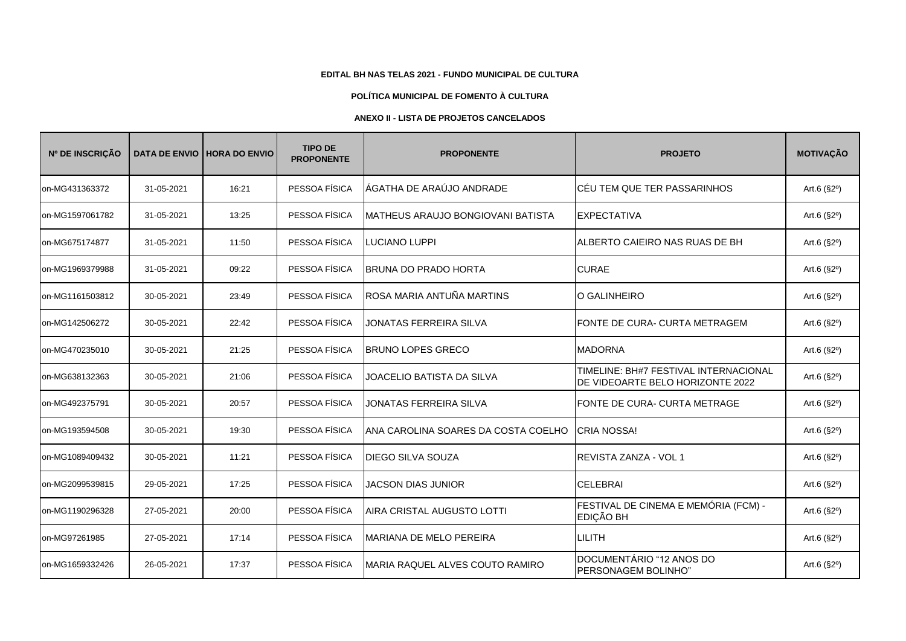## **EDITAL BH NAS TELAS 2021 - FUNDO MUNICIPAL DE CULTURA**

## **POLÍTICA MUNICIPAL DE FOMENTO À CULTURA**

## **ANEXO II - LISTA DE PROJETOS CANCELADOS**

| Nº DE INSCRIÇÃO |            | DATA DE ENVIO   HORA DO ENVIO | <b>TIPO DE</b><br><b>PROPONENTE</b> | <b>PROPONENTE</b>                    | <b>PROJETO</b>                                                            | <b>MOTIVAÇÃO</b>     |
|-----------------|------------|-------------------------------|-------------------------------------|--------------------------------------|---------------------------------------------------------------------------|----------------------|
| on-MG431363372  | 31-05-2021 | 16:21                         | PESSOA FÍSICA                       | ÁGATHA DE ARAÚJO ANDRADE             | ICÉU TEM QUE TER PASSARINHOS                                              | Art.6 $(S2^{\circ})$ |
| on-MG1597061782 | 31-05-2021 | 13:25                         | PESSOA FÍSICA                       | IMATHEUS ARAUJO BONGIOVANI BATISTA   | <b>EXPECTATIVA</b>                                                        | Art.6 $(S2^{\circ})$ |
| on-MG675174877  | 31-05-2021 | 11:50                         | PESSOA FÍSICA                       | <b>LUCIANO LUPPI</b>                 | ALBERTO CAIEIRO NAS RUAS DE BH                                            | Art.6 (§2°)          |
| on-MG1969379988 | 31-05-2021 | 09:22                         | PESSOA FÍSICA                       | <b>BRUNA DO PRADO HORTA</b>          | <b>CURAE</b>                                                              | Art.6 $(S2^{\circ})$ |
| on-MG1161503812 | 30-05-2021 | 23:49                         | PESSOA FÍSICA                       | ROSA MARIA ANTUÑA MARTINS            | O GALINHEIRO                                                              | Art.6 $(S2^{\circ})$ |
| on-MG142506272  | 30-05-2021 | 22:42                         | PESSOA FÍSICA                       | JONATAS FERREIRA SILVA               | FONTE DE CURA- CURTA METRAGEM                                             | Art.6 $(S2^{\circ})$ |
| on-MG470235010  | 30-05-2021 | 21:25                         | PESSOA FÍSICA                       | <b>BRUNO LOPES GRECO</b>             | <b>MADORNA</b>                                                            | Art.6 (§2°)          |
| on-MG638132363  | 30-05-2021 | 21:06                         | PESSOA FÍSICA                       | <b>JOACELIO BATISTA DA SILVA</b>     | TIMELINE: BH#7 FESTIVAL INTERNACIONAL<br>DE VIDEOARTE BELO HORIZONTE 2022 | Art.6 (§2°)          |
| on-MG492375791  | 30-05-2021 | 20:57                         | PESSOA FÍSICA                       | JONATAS FERREIRA SILVA               | FONTE DE CURA- CURTA METRAGE                                              | Art.6 $(S2^{\circ})$ |
| on-MG193594508  | 30-05-2021 | 19:30                         | PESSOA FÍSICA                       | IANA CAROLINA SOARES DA COSTA COELHO | <b>CRIA NOSSA!</b>                                                        | Art.6 (§2°)          |
| on-MG1089409432 | 30-05-2021 | 11:21                         | PESSOA FÍSICA                       | <b>DIEGO SILVA SOUZA</b>             | REVISTA ZANZA - VOL 1                                                     | Art.6 (§2°)          |
| on-MG2099539815 | 29-05-2021 | 17:25                         | PESSOA FÍSICA                       | <b>JACSON DIAS JUNIOR</b>            | <b>CELEBRAI</b>                                                           | Art.6 (§2°)          |
| on-MG1190296328 | 27-05-2021 | 20:00                         | PESSOA FÍSICA                       | AIRA CRISTAL AUGUSTO LOTTI           | FESTIVAL DE CINEMA E MEMÓRIA (FCM) -<br>EDIÇÃO BH                         | Art.6 $(S2^{\circ})$ |
| on-MG97261985   | 27-05-2021 | 17:14                         | PESSOA FÍSICA                       | <b>MARIANA DE MELO PEREIRA</b>       | <b>LILITH</b>                                                             | Art.6 (§2°)          |
| on-MG1659332426 | 26-05-2021 | 17:37                         | PESSOA FÍSICA                       | MARIA RAQUEL ALVES COUTO RAMIRO      | DOCUMENTÁRIO "12 ANOS DO<br>PERSONAGEM BOLINHO"                           | Art.6 $(S2^{\circ})$ |